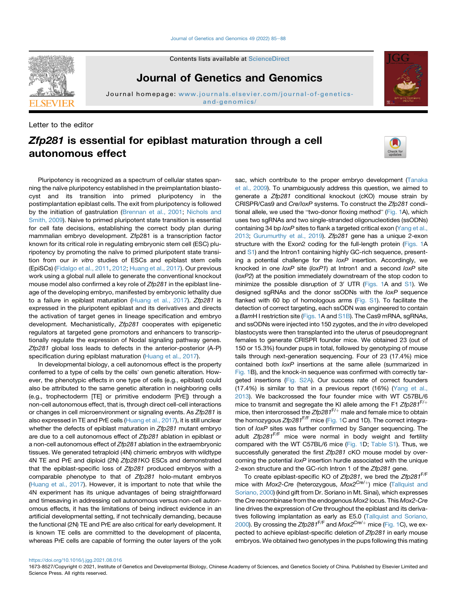Contents lists available at [ScienceDirect](www.sciencedirect.com/science/journal/16738527)



Journal of Genetics and Genomics



Letter to the editor

# Zfp281 is essential for epiblast maturation through a cell autonomous effect

Pluripotency is recognized as a spectrum of cellular states spanning the naïve pluripotency established in the preimplantation blastocyst and its transition into primed pluripotency in the postimplantation epiblast cells. The exit from pluripotency is followed by the initiation of gastrulation ([Brennan et al., 2001;](#page-2-0) [Nichols and](#page-2-1) [Smith, 2009\)](#page-2-1). Naive to primed pluripotent state transition is essential for cell fate decisions, establishing the correct body plan during mammalian embryo development. Zfp281 is a transcription factor known for its critical role in regulating embryonic stem cell (ESC) pluripotency by promoting the naïve to primed pluripotent state transition from our *in vitro* studies of ESCs and epiblast stem cells (EpiSCs) [\(Fidalgo et al., 2011](#page-2-2), [2012;](#page-2-3) [Huang et al., 2017](#page-2-4)). Our previous work using a global null allele to generate the conventional knockout mouse model also confirmed a key role of *Zfp281* in the epiblast lineage of the developing embryo, manifested by embryonic lethality due to a failure in epiblast maturation [\(Huang et al., 2017](#page-2-4)). *Zfp281* is expressed in the pluripotent epiblast and its derivatives and directs the activation of target genes in lineage specification and embryo development. Mechanistically, *Zfp281* cooperates with epigenetic regulators at targeted gene promotors and enhancers to transcriptionally regulate the expression of Nodal signaling pathway genes. *Zfp281* global loss leads to defects in the anterior-posterior (A-P) specification during epiblast maturation ([Huang et al., 2017\)](#page-2-4).

In developmental biology, a cell autonomous effect is the property conferred to a type of cells by the cells' own genetic alteration. However, the phenotypic effects in one type of cells (e.g., epiblast) could also be attributed to the same genetic alteration in neighboring cells (e.g., trophectoderm [TE] or primitive endoderm [PrE]) through a non-cell autonomous effect, that is, through direct cell-cell interactions or changes in cell microenvironment or signaling events. As *Zfp281* is also expressed in TE and PrE cells [\(Huang et al., 2017\)](#page-2-4), it is still unclear whether the defects of epiblast maturation in *Zfp281* mutant embryo are due to a cell autonomous effect of *Zfp281* ablation in epiblast or a non-cell autonomous effect of *Zfp281* ablation in the extraembryonic tissues. We generated tetraploid (4N) chimeric embryos with wildtype 4N TE and PrE and diploid (2N) *Zfp281*KO ESCs and demonstrated that the epiblast-specific loss of *Zfp281* produced embryos with a comparable phenotype to that of *Zfp281* holo-mutant embryos ([Huang et al., 2017\)](#page-2-4). However, it is important to note that while the 4N experiment has its unique advantages of being straightforward and timesaving in addressing cell autonomous versus non-cell autonomous effects, it has the limitations of being indirect evidence in an artificial developmental setting, if not technically demanding, because the functional (2N) TE and PrE are also critical for early development. It is known TE cells are committed to the development of placenta, whereas PrE cells are capable of forming the outer layers of the yolk

sac, which contribute to the proper embryo development [\(Tanaka](#page-2-5) [et al., 2009](#page-2-5)). To unambiguously address this question, we aimed to generate a *Zfp281* conditional knockout (cKO) mouse strain by CRISPR/Cas9 and *Cre*/*loxP* systems. To construct the *Zfp281* conditional allele, we used the "two-donor floxing method" [\(Fig. 1](#page-1-0)A), which uses two sgRNAs and two single-stranded oligonucleotides (ssODNs) containing 34 bp *loxP* sites to flank a targeted critical exon ([Yang et al.,](#page-3-0) [2013;](#page-3-0) [Gurumurthy et al., 2019](#page-2-6)). *Zfp281* gene has a unique 2-exon structure with the Exon2 coding for the full-length protein [\(Figs. 1](#page-1-0)A and S1) and the Intron1 containing highly GC-rich sequence, presenting a potential challenge for the *loxP* insertion. Accordingly, we knocked in one *loxP* site (*loxP1*) at Intron1 and a second *loxP* site (*loxP2*) at the position immediately downstream of the stop codon to minimize the possible disruption of 3' UTR [\(Figs. 1A](#page-1-0) and S1). We designed sgRNAs and the donor ssODNs with the *loxP* sequence flanked with 60 bp of homologous arms (Fig. S1). To facilitate the detection of correct targeting, each ssODN was engineered to contain a *Bam*H I restriction site [\(Figs. 1A](#page-1-0) and S1B). The Cas9 mRNA, sgRNAs, and ssODNs were injected into 150 zygotes, and the *in vitro* developed blastocysts were then transplanted into the uterus of pseudopregnant females to generate CRISPR founder mice. We obtained 23 (out of 150 or 15.3%) founder pups in total, followed by genotyping of mouse tails through next-generation sequencing. Four of 23 (17.4%) mice contained both *loxP* insertions at the same allele (summarized in [Fig. 1](#page-1-0)B), and the knock-in sequence was confirmed with correctly targeted insertions (Fig. S2A). Our success rate of correct founders (17.4%) is similar to that in a previous report (16%) [\(Yang et al.,](#page-3-0) [2013\)](#page-3-0). We backcrossed the four founder mice with WT C57BL/6 mice to transmit and segregate the KI allele among the F1 Zfp281<sup>F/+</sup> mice, then intercrossed the *Zfp281*<sup>F/+</sup> male and female mice to obtain the homozygous *Zfp281*F/F mice ([Fig. 1](#page-1-0)C and 1D). The correct integration of *loxP* sites was further confirmed by Sanger sequencing. The adult *Zfp281*F/F mice were normal in body weight and fertility compared with the WT C57BL/6 mice [\(Fig. 1D](#page-1-0); Table S1). Thus, we successfully generated the first *Zfp281* cKO mouse model by overcoming the potential *loxP* insertion hurdle associated with the unique 2-exon structure and the GC-rich Intron 1 of the *Zfp281* gene.

To create epiblast-specific KO of *Zfp281*, we bred the *Zfp281*F/F mice with *Mox2-Cre* (heterozygous, *Mox2<sup>Cre/+</sup>)* mice [\(Tallquist and](#page-2-7) [Soriano, 2000](#page-2-7)) (kind gift from Dr. Soriano in Mt. Sinai), which expresses the *Cre* recombinase from the endogenous *Mox2* locus. This *Mox2-Cre* line drives the expression of *Cre* throughout the epiblast and its derivatives following implantation as early as E5.0 ([Tallquist and Soriano,](#page-2-7) [2000\)](#page-2-7). By crossing the *Zfp281<sup>F/F</sup>* and *Mox2<sup>Cre/+</sup>* mice [\(Fig. 1](#page-1-0)C), we expected to achieve epiblast-specific deletion of *Zfp281* in early mouse embryos. We obtained two genotypes in the pups following this mating

## <https://doi.org/10.1016/j.jgg.2021.08.016>

1673-8527/Copyright © 2021, Institute of Genetics and Developmental Biology, Chinese Academy of Sciences, and Genetics Society of China. Published by Elsevier Limited and Science Press. All rights reserved.



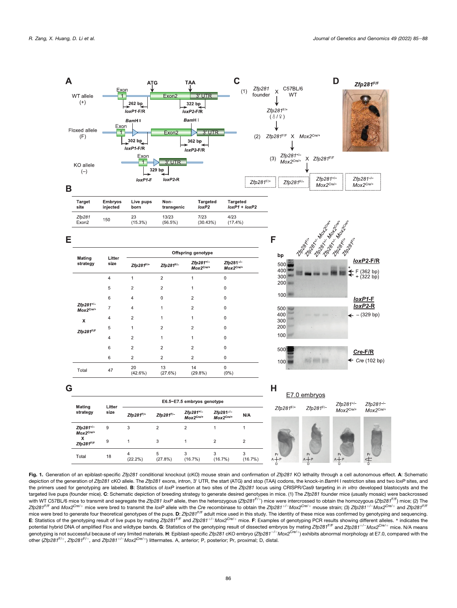<span id="page-1-0"></span>

Fig. 1. Generation of an epiblast-specific *Zfp281* conditional knockout (cKO) mouse strain and confirmation of *Zfp281* KO lethality through a cell autonomous effect. A: Schematic depiction of the generation of *Zfp281* cKO allele. The *Zfp281* exons, intron, 3<sup>0</sup> UTR, the start (ATG) and stop (TAA) codons, the knock-in *Bam*H I restriction sites and two *loxP* sites, and the primers used for genotyping are labeled. B: Statistics of *loxP* insertion at two sites of the *Zfp281* locus using CRISPR/Cas9 targeting in *in vitro* developed blastocysts and the targeted live pups (founder mice). C: Schematic depiction of breeding strategy to generate desired genotypes in mice. (1) The *Zfp281* founder mice (usually mosaic) were backcrossed with WT C57BL/6 mice to transmit and segregate the *Zfp281 loxP* allele, then the heterozygous (*Zfp<sup>281F/+</sup>*) mice were intercrossed to obtain the homozygous (*Zfp281<sup>F/F</sup>*) mice; (2) The Zfp281<sup>F/F</sup> and Mox2<sup>Cre/+</sup> mice were bred to transmit the loxP allele with the Cre recombinase to obtain the Zfp281<sup>+/-</sup>Mox2<sup>Cre/+</sup> mouse strain; (3) Zfp281<sup>+/-</sup>Mox2<sup>Cre/+</sup> and Zfp281<sup>F/F</sup> mice were bred to generate four theoretical genotypes of the pups. D: *Zfp281<sup>F/F</sup>* adult mice used in this study. The identity of these mice was confirmed by genotyping and sequencing. E: Statistics of the genotyping result of live pups by mating *Zfp281<sup>F/F</sup>* and *Zfp281<sup>+/-</sup>Mox2<sup>Cre/+</sup> mice.* F: Examples of genotyping PCR results showing different alleles. \* indicates the potential hybrid DNA of amplified Flox and wildtype bands. G: Statistics of the genotyping result of dissected embryos by mating *Zfp281<sup>+/F</sup>* and *Zfp281<sup>+/-</sup>Mox2<sup>Cre/+</sup> mice. N/A means* genotyping is not successful because of very limited materials. H: Epiblast-specific *Zfp281* cKO embryo (*Zfp281<sup>-/-</sup>Mox2<sup>Cre/+</sup>)* exhibits abnormal morphology at E7.0, compared with the other (*Zfp281<sup>F/+</sup>, Zfp281<sup>F/-</sup>, and <i>Zfp281<sup>+/-</sup>Mox2<sup>Cre/+</sup>)* littermates. A, anterior; P, posterior; Pr, proximal; D, distal.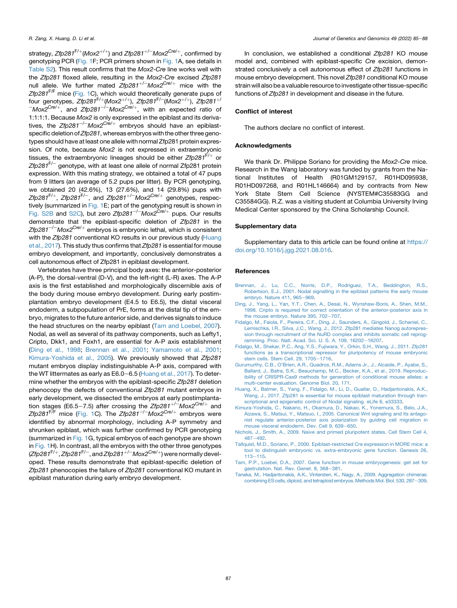strategy, *Zfp281*<sup>F/+</sup>(Mox2<sup>+/+</sup>) and *Zfp281*<sup>+/-</sup>Mox2<sup>Cre/+</sup>, confirmed by genotyping PCR [\(Fig. 1F](#page-1-0); PCR primers shown in [Fig. 1](#page-1-0)A, see details in Table S2). This result confirms that the *Mox2*-*Cre* line works well with the *Zfp281* floxed allele, resulting in the *Mox2*-*Cre* excised *Zfp281* null allele. We further mated  $Zfp281^{+/-}$ *Mox2<sup>Cre/+</sup>* mice with the *Zfp281*F/F mice [\(Fig. 1C](#page-1-0)), which would theoretically generate pups of four genotypes, *Zfp281<sup>F/+</sup>(Mox2<sup>+/+</sup>), Zfp281<sup>F/-</sup>(Mox2<sup>+/+</sup>), <i>Zfp281<sup>+/</sup>*  $^{-}$ *Mox2<sup>Cre/+</sup>,* and *Zfp281<sup>-/-</sup>Mox2<sup>Cre/+</sup>, with an expected ratio of* 1:1:1:1. Because *Mox2* is only expressed in the epiblast and its derivatives, the  $Zfp281^{-/-}$ *Mox2<sup>Cre/+</sup>* embryos should have an epiblastspecific deletion of*Zfp281*, whereas embryos with the other three genotypes should have at least one allele with normal Zfp281 protein expression. Of note, because *Mox2* is not expressed in extraembryonic tissues, the extraembryonic lineages should be either *Zfp281<sup>F/+</sup>* or Zfp281<sup>F/-</sup> genotype, with at least one allele of normal Zfp281 protein expression. With this mating strategy, we obtained a total of 47 pups from 9 litters (an average of 5.2 pups per litter). By PCR genotyping, we obtained 20 (42.6%), 13 (27.6%), and 14 (29.8%) pups with *Zfp281*<sup>F/+</sup>, *Zfp281*<sup>F/-</sup>, and *Zfp281<sup>+/-</sup>Mox2<sup>Cre/+</sup> genotypes, respec*tively (summarized in [Fig. 1](#page-1-0)E; part of the genotyping result is shown in Fig. S2B and S2C), but zero *Zfp281<sup>-/-</sup>Mox2<sup>Cre/+</sup>* pups. Our results demonstrate that the epiblast-specific deletion of *Zfp281* in the Zfp281<sup>-/-</sup>Mox2<sup>Cre/+</sup> embryos is embryonic lethal, which is consistent with the *Zfp281* conventional KO results in our previous study ([Huang](#page-2-4) [et al., 2017](#page-2-4)). This study thus confirms that *Zfp281* is essential for mouse embryo development, and importantly, conclusively demonstrates a cell autonomous effect of Zfp281 in epiblast development.

Vertebrates have three principal body axes: the anterior-posterior (A-P), the dorsal-ventral (D-V), and the left-right (L-R) axes. The A-P axis is the first established and morphologically discernible axis of the body during mouse embryo development. During early postimplantation embryo development (E4.5 to E6.5), the distal visceral endoderm, a subpopulation of PrE, forms at the distal tip of the embryo, migrates to the future anterior side, and derives signals to induce the head structures on the nearby epiblast ([Tam and Loebel, 2007](#page-2-8)). Nodal, as well as several of its pathway components, such as Lefty1, Cripto, Dkk1, and Foxh1, are essential for A-P axis establishment ([Ding et al., 1998](#page-2-9); [Brennan et al., 2001](#page-2-0); [Yamamoto et al., 2001](#page-3-1); [Kimura-Yoshida et al., 2005](#page-2-10)). We previously showed that *Zfp281* mutant embryos display indistinguishable A-P axis, compared with the WT littermates as early as E6.0-6.5 [\(Huang et al., 2017\)](#page-2-4). To determine whether the embryos with the epiblast-specific *Zfp281* deletion phenocopy the defects of conventional *Zfp281* mutant embryos in early development, we dissected the embryos at early postimplantation stages (E6.5–7.5) after crossing the *Zfp281<sup>+/-</sup>Mox2<sup>Cre/+</sup>* and *Zfp281<sup>F/F</sup>* mice [\(Fig. 1](#page-1-0)C). The *Zfp281<sup>-/-</sup>Mox2<sup>Cre/+</sup> embryos were* identified by abnormal morphology, including A-P symmetry and shrunken epiblast, which was further confirmed by PCR genotyping (summarized in [Fig. 1](#page-1-0)G, typical embryos of each genotype are shown in [Fig. 1H](#page-1-0)). In contrast, all the embryos with the other three genotypes (*Zfp281*F/þ, *Zfp281*F/e, and *Zfp281*þ/<sup>e</sup>*Mox2Cre*/þ) were normally developed. These results demonstrate that epiblast-specific deletion of *Zfp281* phenocopies the failure of *Zfp281* conventional KO mutant in epiblast maturation during early embryo development.

In conclusion, we established a conditional *Zfp281* KO mouse model and, combined with epiblast-specific *Cre* excision, demonstrated conclusively a cell autonomous effect of *Zfp281* functions in mouse embryo development. This novel *Zfp281* conditional KO mouse strain will also be a valuable resource to investigate other tissue-specific functions of *Zfp281* in development and disease in the future.

## Conflict of interest

The authors declare no conflict of interest.

# Acknowledgments

We thank Dr. Philippe Soriano for providing the *Mox2-Cre* mice. Research in the Wang laboratory was funded by grants from the National Institutes of Health (R01GM129157, R01HD095938, R01HD097268, and R01HL146664) and by contracts from New York State Stem Cell Science (NYSTEM#C35583GG and C35584GG). R.Z. was a visiting student at Columbia University Irving Medical Center sponsored by the China Scholarship Council.

#### Supplementary data

Supplementary data to this article can be found online at [https://](https://doi.org/10.1016/j.jgg.2021.08.016) [doi.org/10.1016/j.jgg.2021.08.016](https://doi.org/10.1016/j.jgg.2021.08.016).

## **References**

- <span id="page-2-0"></span>[Brennan, J., Lu, C.C., Norris, D.P., Rodriguez, T.A., Beddington, R.S.,](http://refhub.elsevier.com/S1673-8527(21)00301-5/sref1) [Robertson, E.J., 2001. Nodal signalling in the epiblast patterns the early mouse](http://refhub.elsevier.com/S1673-8527(21)00301-5/sref1) [embryo. Nature 411, 965](http://refhub.elsevier.com/S1673-8527(21)00301-5/sref1)-[969](http://refhub.elsevier.com/S1673-8527(21)00301-5/sref1).
- <span id="page-2-9"></span>[Ding, J., Yang, L., Yan, Y.T., Chen, A., Desai, N., Wynshaw-Boris, A., Shen, M.M.,](http://refhub.elsevier.com/S1673-8527(21)00301-5/sref2) [1998. Cripto is required for correct orientation of the anterior-posterior axis in](http://refhub.elsevier.com/S1673-8527(21)00301-5/sref2) [the mouse embryo. Nature 395, 702](http://refhub.elsevier.com/S1673-8527(21)00301-5/sref2)-[707.](http://refhub.elsevier.com/S1673-8527(21)00301-5/sref2)
- <span id="page-2-3"></span>[Fidalgo, M., Faiola, F., Pereira, C.F., Ding, J., Saunders, A., Gingold, J., Schaniel, C.,](http://refhub.elsevier.com/S1673-8527(21)00301-5/sref3) [Lemischka, I.R., Silva, J.C., Wang, J., 2012. Zfp281 mediates Nanog autorepres](http://refhub.elsevier.com/S1673-8527(21)00301-5/sref3)[sion through recruitment of the NuRD complex and inhibits somatic cell reprog](http://refhub.elsevier.com/S1673-8527(21)00301-5/sref3)[ramming. Proc. Natl. Acad. Sci. U. S. A. 109, 16202](http://refhub.elsevier.com/S1673-8527(21)00301-5/sref3)-[16207.](http://refhub.elsevier.com/S1673-8527(21)00301-5/sref3)
- <span id="page-2-2"></span>[Fidalgo, M., Shekar, P.C., Ang, Y.S., Fujiwara, Y., Orkin, S.H., Wang, J., 2011. Zfp281](http://refhub.elsevier.com/S1673-8527(21)00301-5/sref4) [functions as a transcriptional repressor for pluripotency of mouse embryonic](http://refhub.elsevier.com/S1673-8527(21)00301-5/sref4) [stem cells. Stem Cell. 29, 1705](http://refhub.elsevier.com/S1673-8527(21)00301-5/sref4)-[1716.](http://refhub.elsevier.com/S1673-8527(21)00301-5/sref4)
- <span id="page-2-6"></span>[Gurumurthy, C.B., O'Brien, A.R., Quadros, R.M., Adams Jr., J., Alcaide, P., Ayabe, S.,](http://refhub.elsevier.com/S1673-8527(21)00301-5/sref5) [Ballard, J., Batra, S.K., Beauchamp, M.C., Becker, K.A., et al., 2019. Reproduc](http://refhub.elsevier.com/S1673-8527(21)00301-5/sref5)[ibility of CRISPR-Cas9 methods for generation of conditional mouse alleles: a](http://refhub.elsevier.com/S1673-8527(21)00301-5/sref5) [multi-center evaluation. Genome Biol. 20, 171.](http://refhub.elsevier.com/S1673-8527(21)00301-5/sref5)
- <span id="page-2-4"></span>[Huang, X., Balmer, S., Yang, F., Fidalgo, M., Li, D., Guallar, D., Hadjantonakis, A.K.,](http://refhub.elsevier.com/S1673-8527(21)00301-5/sref6) [Wang, J., 2017. Zfp281 is essential for mouse epiblast maturation through tran](http://refhub.elsevier.com/S1673-8527(21)00301-5/sref6)[scriptional and epigenetic control of Nodal signaling. eLife 6, e33333](http://refhub.elsevier.com/S1673-8527(21)00301-5/sref6).
- <span id="page-2-10"></span>[Kimura-Yoshida, C., Nakano, H., Okamura, D., Nakao, K., Yonemura, S., Belo, J.A.,](http://refhub.elsevier.com/S1673-8527(21)00301-5/sref7) [Aizawa, S., Matsui, Y., Matsuo, I., 2005. Canonical Wnt signaling and its antago](http://refhub.elsevier.com/S1673-8527(21)00301-5/sref7)[nist regulate anterior-posterior axis polarization by guiding cell migration in](http://refhub.elsevier.com/S1673-8527(21)00301-5/sref7) [mouse visceral endoderm. Dev. Cell 9, 639](http://refhub.elsevier.com/S1673-8527(21)00301-5/sref7)-[650.](http://refhub.elsevier.com/S1673-8527(21)00301-5/sref7)
- <span id="page-2-7"></span><span id="page-2-1"></span>[Nichols, J., Smith, A., 2009. Naive and primed pluripotent states. Cell Stem Cell 4,](http://refhub.elsevier.com/S1673-8527(21)00301-5/sref8)  $487 - 492$  $487 - 492$  $487 - 492$
- [Tallquist, M.D., Soriano, P., 2000. Epiblast-restricted Cre expression in MORE mice: a](http://refhub.elsevier.com/S1673-8527(21)00301-5/sref9) [tool to distinguish embryonic vs. extra-embryonic gene function. Genesis 26,](http://refhub.elsevier.com/S1673-8527(21)00301-5/sref9) [113](http://refhub.elsevier.com/S1673-8527(21)00301-5/sref9)e[115](http://refhub.elsevier.com/S1673-8527(21)00301-5/sref9).
- <span id="page-2-8"></span><span id="page-2-5"></span>[Tam, P.P., Loebel, D.A., 2007. Gene function in mouse embryogenesis: get set for](http://refhub.elsevier.com/S1673-8527(21)00301-5/sref10) [gastrulation. Nat. Rev. Genet. 8, 368](http://refhub.elsevier.com/S1673-8527(21)00301-5/sref10)-[381](http://refhub.elsevier.com/S1673-8527(21)00301-5/sref10).
- [Tanaka, M., Hadjantonakis, A.K., Vintersten, K., Nagy, A., 2009. Aggregation chimeras:](http://refhub.elsevier.com/S1673-8527(21)00301-5/sref11) [combining ES cells, diploid, and tetraploid embryos. Methods Mol. Biol. 530, 287](http://refhub.elsevier.com/S1673-8527(21)00301-5/sref11)-[309.](http://refhub.elsevier.com/S1673-8527(21)00301-5/sref11)